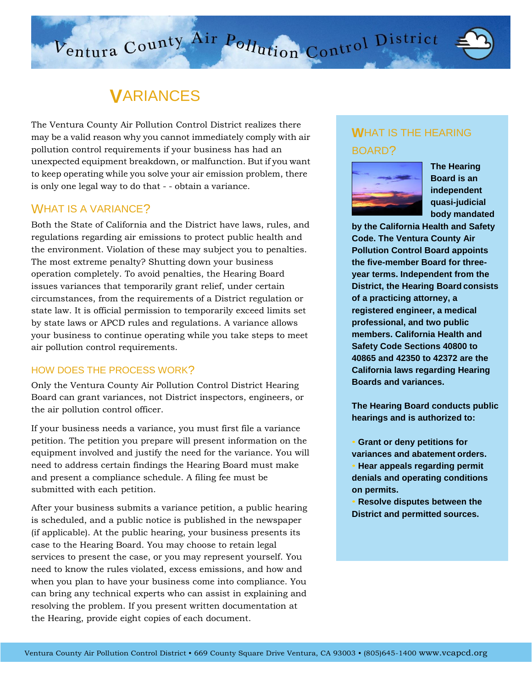# **V**ARIANCES

The Ventura County Air Pollution Control District realizes there may be a valid reason why you cannot immediately comply with air pollution control requirements if your business has had an unexpected equipment breakdown, or malfunction. But if you want to keep operating while you solve your air emission problem, there is only one legal way to do that - - obtain a variance.

### WHAT IS A VARIANCE?

Both the State of California and the District have laws, rules, and regulations regarding air emissions to protect public health and the environment. Violation of these may subject you to penalties. The most extreme penalty? Shutting down your business operation completely. To avoid penalties, the Hearing Board issues variances that temporarily grant relief, under certain circumstances, from the requirements of a District regulation or state law. It is official permission to temporarily exceed limits set by state laws or APCD rules and regulations. A variance allows your business to continue operating while you take steps to meet air pollution control requirements.

#### HOW DOES THE PROCESS WORK?

Only the Ventura County Air Pollution Control District Hearing Board can grant variances, not District inspectors, engineers, or the air pollution control officer.

If your business needs a variance, you must first file a variance petition. The petition you prepare will present information on the equipment involved and justify the need for the variance. You will need to address certain findings the Hearing Board must make and present a compliance schedule. A filing fee must be submitted with each petition.

After your business submits a variance petition, a public hearing is scheduled, and a public notice is published in the newspaper (if applicable). At the public hearing, your business presents its case to the Hearing Board. You may choose to retain legal services to present the case, or you may represent yourself. You need to know the rules violated, excess emissions, and how and when you plan to have your business come into compliance. You can bring any technical experts who can assist in explaining and resolving the problem. If you present written documentation at the Hearing, provide eight copies of each document.

# **W**HAT IS THE HEARING BOARD?

 $\sqrt{V}$  District  $\overline{O1}$ Square Drive Ventura, CA 93003 • CA 93003 • CA 93003 • CA 93003 • CA 93003 • CA 93003 • CA 93003 • CA 93003 • CA 93003 • CA 93003 • CA 93003 • CA 93003 • CA 93003 • CA 93003 • CA 93003 • CA 93003 • CA 93003 • CA 93003 • CA



**The Hearing Board is an independent quasi-judicial body mandated**

**by the California Health and Safety Code. The Ventura County Air Pollution Control Board appoints the five-member Board for threeyear terms. Independent from the District, the Hearing Board consists of a practicing attorney, a registered engineer, a medical professional, and two public members. California Health and Safety Code Sections 40800 to 40865 and 42350 to 42372 are the California laws regarding Hearing Boards and variances.**

**The Hearing Board conducts public hearings and is authorized to:**

• **Grant or deny petitions for variances and abatement orders.** • **Hear appeals regarding permit denials and operating conditions on permits.**

• **Resolve disputes between the District and permitted sources.**